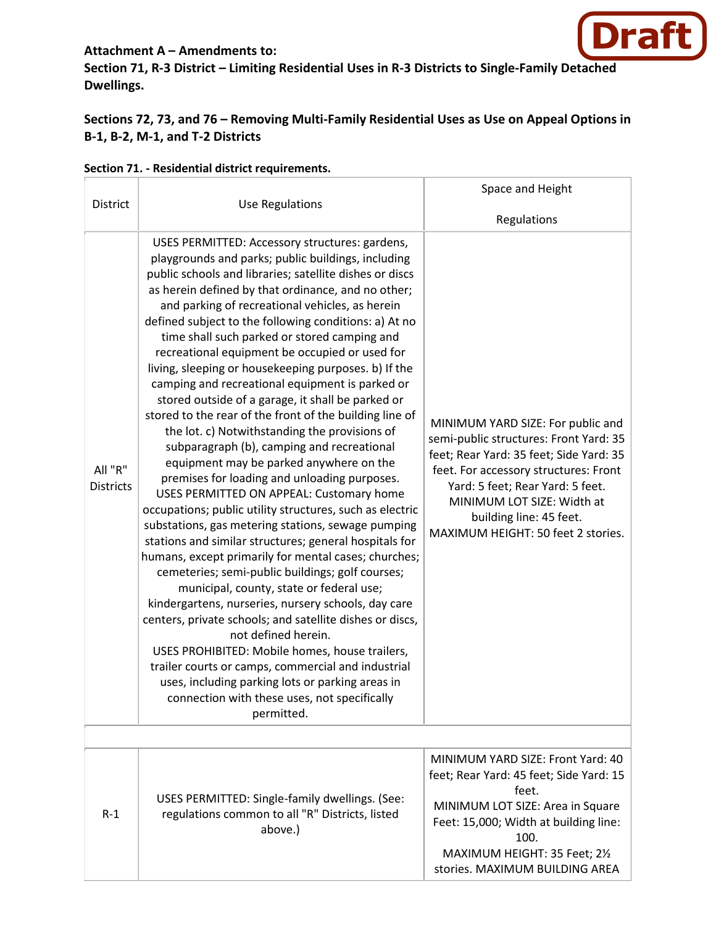# **Draft**

### **Attachment A – Amendments to:**

**Section 71, R-3 District – Limiting Residential Uses in R-3 Districts to Single-Family Detached Dwellings.** 

# **Sections 72, 73, and 76 – Removing Multi-Family Residential Uses as Use on Appeal Options in B-1, B-2, M-1, and T-2 Districts**

|                             |                                                                                                                                                                                                                                                                                                                                                                                                                                                                                                                                                                                                                                                                                                                                                                                                                                                                                                                                                                                                                                                                                                                                                                                                                                                                                                                                                                                                                                                                                                                                                                                                              | Space and Height                                                                                                                                                                                                                                                                                   |
|-----------------------------|--------------------------------------------------------------------------------------------------------------------------------------------------------------------------------------------------------------------------------------------------------------------------------------------------------------------------------------------------------------------------------------------------------------------------------------------------------------------------------------------------------------------------------------------------------------------------------------------------------------------------------------------------------------------------------------------------------------------------------------------------------------------------------------------------------------------------------------------------------------------------------------------------------------------------------------------------------------------------------------------------------------------------------------------------------------------------------------------------------------------------------------------------------------------------------------------------------------------------------------------------------------------------------------------------------------------------------------------------------------------------------------------------------------------------------------------------------------------------------------------------------------------------------------------------------------------------------------------------------------|----------------------------------------------------------------------------------------------------------------------------------------------------------------------------------------------------------------------------------------------------------------------------------------------------|
| District                    | <b>Use Regulations</b>                                                                                                                                                                                                                                                                                                                                                                                                                                                                                                                                                                                                                                                                                                                                                                                                                                                                                                                                                                                                                                                                                                                                                                                                                                                                                                                                                                                                                                                                                                                                                                                       | Regulations                                                                                                                                                                                                                                                                                        |
| All "R"<br><b>Districts</b> | USES PERMITTED: Accessory structures: gardens,<br>playgrounds and parks; public buildings, including<br>public schools and libraries; satellite dishes or discs<br>as herein defined by that ordinance, and no other;<br>and parking of recreational vehicles, as herein<br>defined subject to the following conditions: a) At no<br>time shall such parked or stored camping and<br>recreational equipment be occupied or used for<br>living, sleeping or housekeeping purposes. b) If the<br>camping and recreational equipment is parked or<br>stored outside of a garage, it shall be parked or<br>stored to the rear of the front of the building line of<br>the lot. c) Notwithstanding the provisions of<br>subparagraph (b), camping and recreational<br>equipment may be parked anywhere on the<br>premises for loading and unloading purposes.<br>USES PERMITTED ON APPEAL: Customary home<br>occupations; public utility structures, such as electric<br>substations, gas metering stations, sewage pumping<br>stations and similar structures; general hospitals for<br>humans, except primarily for mental cases; churches;<br>cemeteries; semi-public buildings; golf courses;<br>municipal, county, state or federal use;<br>kindergartens, nurseries, nursery schools, day care<br>centers, private schools; and satellite dishes or discs,<br>not defined herein.<br>USES PROHIBITED: Mobile homes, house trailers,<br>trailer courts or camps, commercial and industrial<br>uses, including parking lots or parking areas in<br>connection with these uses, not specifically<br>permitted. | MINIMUM YARD SIZE: For public and<br>semi-public structures: Front Yard: 35<br>feet; Rear Yard: 35 feet; Side Yard: 35<br>feet. For accessory structures: Front<br>Yard: 5 feet; Rear Yard: 5 feet.<br>MINIMUM LOT SIZE: Width at<br>building line: 45 feet.<br>MAXIMUM HEIGHT: 50 feet 2 stories. |
|                             |                                                                                                                                                                                                                                                                                                                                                                                                                                                                                                                                                                                                                                                                                                                                                                                                                                                                                                                                                                                                                                                                                                                                                                                                                                                                                                                                                                                                                                                                                                                                                                                                              | MINIMUM YARD SIZE: Front Yard: 40                                                                                                                                                                                                                                                                  |
| $R-1$                       | USES PERMITTED: Single-family dwellings. (See:<br>regulations common to all "R" Districts, listed<br>above.)                                                                                                                                                                                                                                                                                                                                                                                                                                                                                                                                                                                                                                                                                                                                                                                                                                                                                                                                                                                                                                                                                                                                                                                                                                                                                                                                                                                                                                                                                                 | feet; Rear Yard: 45 feet; Side Yard: 15<br>feet.<br>MINIMUM LOT SIZE: Area in Square<br>Feet: 15,000; Width at building line:<br>100.<br>MAXIMUM HEIGHT: 35 Feet; 21/2<br>stories. MAXIMUM BUILDING AREA                                                                                           |

#### **Section 71. - Residential district requirements.**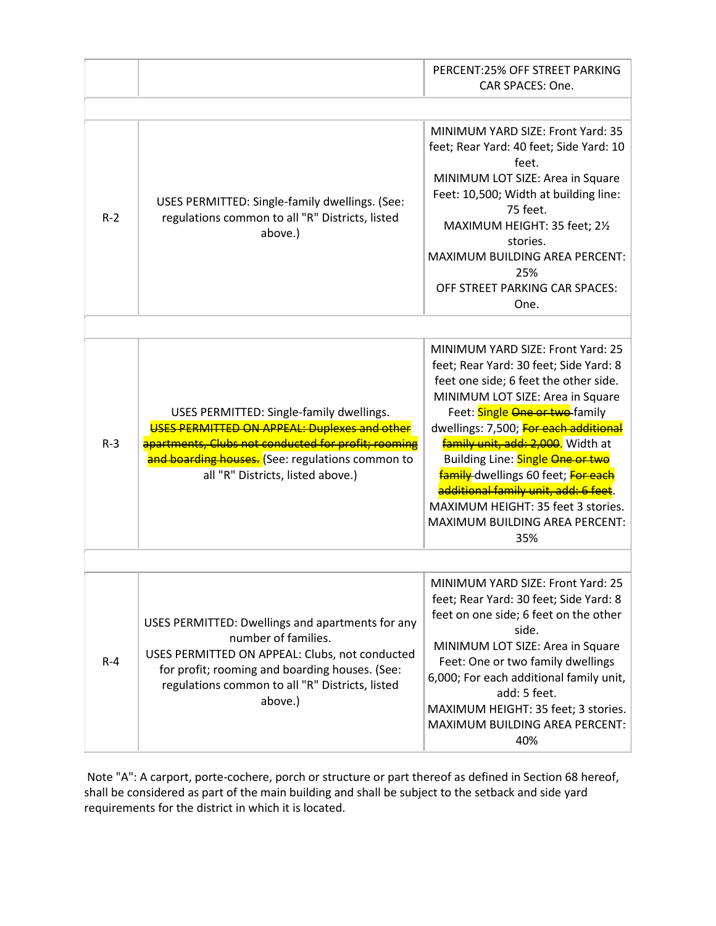|         |                                                                                                                                                                                                                                           | PERCENT:25% OFF STREET PARKING<br>CAR SPACES: One.                                                                                                                                                                                                                                                                                                                                                                                                                               |
|---------|-------------------------------------------------------------------------------------------------------------------------------------------------------------------------------------------------------------------------------------------|----------------------------------------------------------------------------------------------------------------------------------------------------------------------------------------------------------------------------------------------------------------------------------------------------------------------------------------------------------------------------------------------------------------------------------------------------------------------------------|
|         |                                                                                                                                                                                                                                           |                                                                                                                                                                                                                                                                                                                                                                                                                                                                                  |
| $R-2$   | USES PERMITTED: Single-family dwellings. (See:<br>regulations common to all "R" Districts, listed<br>above.)                                                                                                                              | MINIMUM YARD SIZE: Front Yard: 35<br>feet; Rear Yard: 40 feet; Side Yard: 10<br>feet.<br>MINIMUM LOT SIZE: Area in Square<br>Feet: 10,500; Width at building line:<br>75 feet.<br>MAXIMUM HEIGHT: 35 feet; 21/2<br>stories.<br>MAXIMUM BUILDING AREA PERCENT:<br>25%<br>OFF STREET PARKING CAR SPACES:<br>One.                                                                                                                                                                   |
|         |                                                                                                                                                                                                                                           |                                                                                                                                                                                                                                                                                                                                                                                                                                                                                  |
| $R-3$   | USES PERMITTED: Single-family dwellings.<br>USES PERMITTED ON APPEAL: Duplexes and other<br>apartments, Clubs not conducted for profit; rooming<br>and boarding houses. (See: regulations common to<br>all "R" Districts, listed above.)  | MINIMUM YARD SIZE: Front Yard: 25<br>feet; Rear Yard: 30 feet; Side Yard: 8<br>feet one side; 6 feet the other side.<br>MINIMUM LOT SIZE: Area in Square<br>Feet: Single One or two-family<br>dwellings: 7,500; For each additional<br>family unit, add: 2,000. Width at<br>Building Line: Single One or two<br><b>family</b> dwellings 60 feet; For each<br>additional family unit, add: 6 feet.<br>MAXIMUM HEIGHT: 35 feet 3 stories.<br>MAXIMUM BUILDING AREA PERCENT:<br>35% |
|         |                                                                                                                                                                                                                                           |                                                                                                                                                                                                                                                                                                                                                                                                                                                                                  |
| $R - 4$ | USES PERMITTED: Dwellings and apartments for any<br>number of families.<br>USES PERMITTED ON APPEAL: Clubs, not conducted<br>for profit; rooming and boarding houses. (See:<br>regulations common to all "R" Districts, listed<br>above.) | MINIMUM YARD SIZE: Front Yard: 25<br>feet; Rear Yard: 30 feet; Side Yard: 8<br>feet on one side; 6 feet on the other<br>side.<br>MINIMUM LOT SIZE: Area in Square<br>Feet: One or two family dwellings<br>6,000; For each additional family unit,<br>add: 5 feet.<br>MAXIMUM HEIGHT: 35 feet; 3 stories.<br>MAXIMUM BUILDING AREA PERCENT:<br>40%                                                                                                                                |

Note "A": A carport, porte-cochere, porch or structure or part thereof as defined in Section 68 hereof, shall be considered as part of the main building and shall be subject to the setback and side yard requirements for the district in which it is located.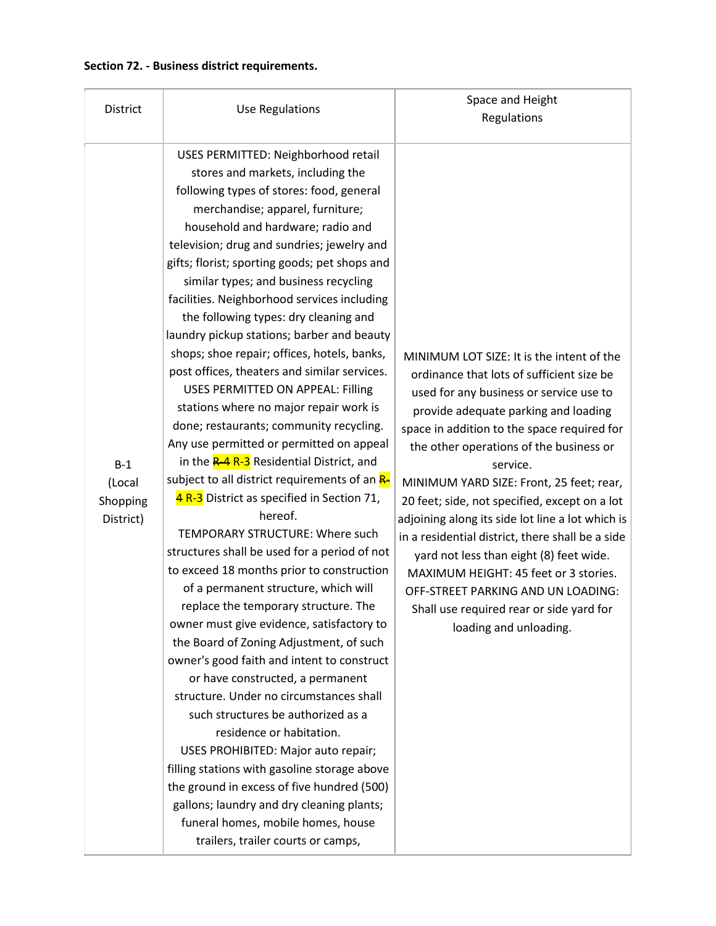## **Section 72. - Business district requirements.**

| <b>District</b>                          | <b>Use Regulations</b>                                                                                                                                                                                                                                                                                                                                                                                                                                                                                                                                                                                                                                                                                                                                                                                                                                                                                                                                                                                                                                                                                                                                                                                                                                                                                                                                                                                                                                                                                                                                                                                                                                                             | Space and Height<br>Regulations                                                                                                                                                                                                                                                                                                                                                                                                                                                                                                                                                                                                                                                      |
|------------------------------------------|------------------------------------------------------------------------------------------------------------------------------------------------------------------------------------------------------------------------------------------------------------------------------------------------------------------------------------------------------------------------------------------------------------------------------------------------------------------------------------------------------------------------------------------------------------------------------------------------------------------------------------------------------------------------------------------------------------------------------------------------------------------------------------------------------------------------------------------------------------------------------------------------------------------------------------------------------------------------------------------------------------------------------------------------------------------------------------------------------------------------------------------------------------------------------------------------------------------------------------------------------------------------------------------------------------------------------------------------------------------------------------------------------------------------------------------------------------------------------------------------------------------------------------------------------------------------------------------------------------------------------------------------------------------------------------|--------------------------------------------------------------------------------------------------------------------------------------------------------------------------------------------------------------------------------------------------------------------------------------------------------------------------------------------------------------------------------------------------------------------------------------------------------------------------------------------------------------------------------------------------------------------------------------------------------------------------------------------------------------------------------------|
| $B-1$<br>(Local<br>Shopping<br>District) | USES PERMITTED: Neighborhood retail<br>stores and markets, including the<br>following types of stores: food, general<br>merchandise; apparel, furniture;<br>household and hardware; radio and<br>television; drug and sundries; jewelry and<br>gifts; florist; sporting goods; pet shops and<br>similar types; and business recycling<br>facilities. Neighborhood services including<br>the following types: dry cleaning and<br>laundry pickup stations; barber and beauty<br>shops; shoe repair; offices, hotels, banks,<br>post offices, theaters and similar services.<br>USES PERMITTED ON APPEAL: Filling<br>stations where no major repair work is<br>done; restaurants; community recycling.<br>Any use permitted or permitted on appeal<br>in the <b>R-4 R-3</b> Residential District, and<br>subject to all district requirements of an R-<br>4 R-3 District as specified in Section 71,<br>hereof.<br>TEMPORARY STRUCTURE: Where such<br>structures shall be used for a period of not<br>to exceed 18 months prior to construction<br>of a permanent structure, which will<br>replace the temporary structure. The<br>owner must give evidence, satisfactory to<br>the Board of Zoning Adjustment, of such<br>owner's good faith and intent to construct<br>or have constructed, a permanent<br>structure. Under no circumstances shall<br>such structures be authorized as a<br>residence or habitation.<br>USES PROHIBITED: Major auto repair;<br>filling stations with gasoline storage above<br>the ground in excess of five hundred (500)<br>gallons; laundry and dry cleaning plants;<br>funeral homes, mobile homes, house<br>trailers, trailer courts or camps, | MINIMUM LOT SIZE: It is the intent of the<br>ordinance that lots of sufficient size be<br>used for any business or service use to<br>provide adequate parking and loading<br>space in addition to the space required for<br>the other operations of the business or<br>service.<br>MINIMUM YARD SIZE: Front, 25 feet; rear,<br>20 feet; side, not specified, except on a lot<br>adjoining along its side lot line a lot which is<br>in a residential district, there shall be a side<br>yard not less than eight (8) feet wide.<br>MAXIMUM HEIGHT: 45 feet or 3 stories.<br>OFF-STREET PARKING AND UN LOADING:<br>Shall use required rear or side yard for<br>loading and unloading. |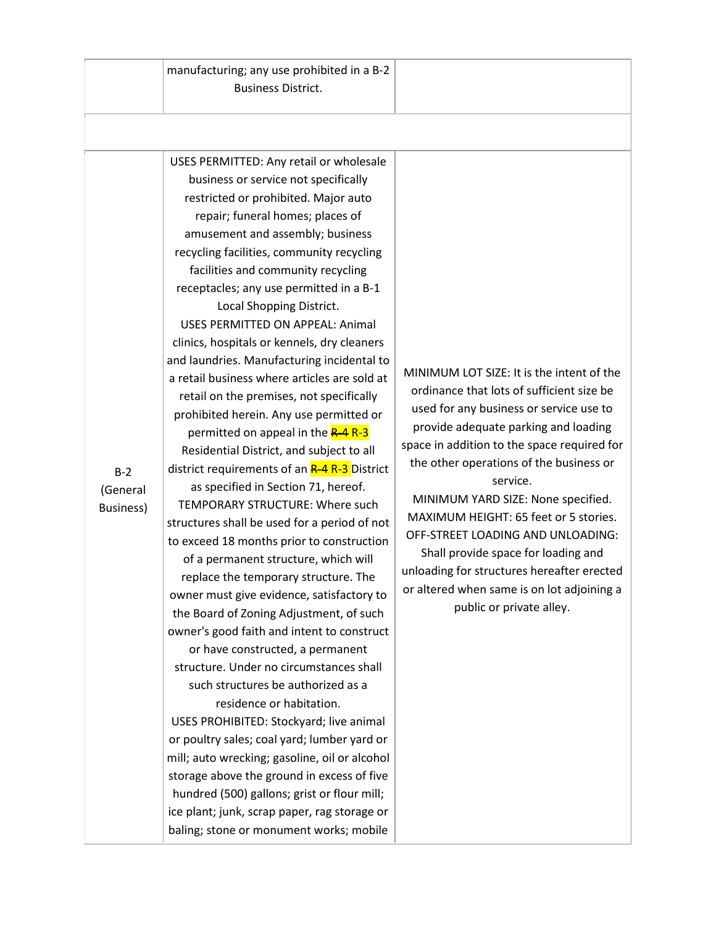manufacturing; any use prohibited in a B-2 Business District.

USES PERMITTED: Any retail or wholesale business or service not specifically restricted or prohibited. Major auto repair; funeral homes; places of amusement and assembly; business recycling facilities, community recycling facilities and community recycling receptacles; any use permitted in a B-1 Local Shopping District. USES PERMITTED ON APPEAL: Animal clinics, hospitals or kennels, dry cleaners and laundries. Manufacturing incidental to a retail business where articles are sold at retail on the premises, not specifically prohibited herein. Any use permitted or permitted on appeal in the **R-4 R-3** Residential District, and subject to all district requirements of an **R-4 R-3** District as specified in Section 71, hereof. TEMPORARY STRUCTURE: Where such structures shall be used for a period of not to exceed 18 months prior to construction of a permanent structure, which will replace the temporary structure. The owner must give evidence, satisfactory to the Board of Zoning Adjustment, of such owner's good faith and intent to construct or have constructed, a permanent structure. Under no circumstances shall such structures be authorized as a residence or habitation. USES PROHIBITED: Stockyard; live animal or poultry sales; coal yard; lumber yard or

mill; auto wrecking; gasoline, oil or alcohol storage above the ground in excess of five hundred (500) gallons; grist or flour mill; ice plant; junk, scrap paper, rag storage or baling; stone or monument works; mobile

MINIMUM LOT SIZE: It is the intent of the ordinance that lots of sufficient size be used for any business or service use to provide adequate parking and loading space in addition to the space required for the other operations of the business or service.

MINIMUM YARD SIZE: None specified. MAXIMUM HEIGHT: 65 feet or 5 stories. OFF-STREET LOADING AND UNLOADING: Shall provide space for loading and unloading for structures hereafter erected or altered when same is on lot adjoining a public or private alley.

B-2 (General Business)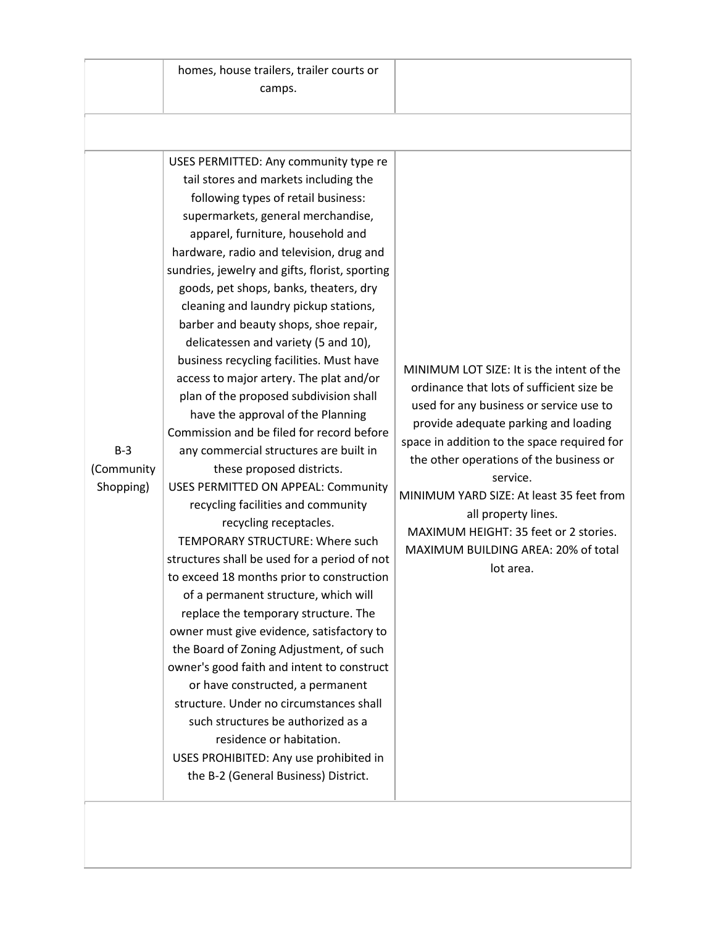| homes, house trailers, trailer courts or |
|------------------------------------------|
| camps.                                   |

USES PERMITTED: Any community type re tail stores and markets including the following types of retail business: supermarkets, general merchandise, apparel, furniture, household and hardware, radio and television, drug and sundries, jewelry and gifts, florist, sporting goods, pet shops, banks, theaters, dry cleaning and laundry pickup stations, barber and beauty shops, shoe repair, delicatessen and variety (5 and 10), business recycling facilities. Must have access to major artery. The plat and/or plan of the proposed subdivision shall have the approval of the Planning Commission and be filed for record before any commercial structures are built in these proposed districts. USES PERMITTED ON APPEAL: Community recycling facilities and community recycling receptacles. TEMPORARY STRUCTURE: Where such structures shall be used for a period of not to exceed 18 months prior to construction of a permanent structure, which will replace the temporary structure. The owner must give evidence, satisfactory to the Board of Zoning Adjustment, of such owner's good faith and intent to construct or have constructed, a permanent structure. Under no circumstances shall such structures be authorized as a residence or habitation. USES PROHIBITED: Any use prohibited in the B-2 (General Business) District.

MINIMUM LOT SIZE: It is the intent of the ordinance that lots of sufficient size be used for any business or service use to provide adequate parking and loading space in addition to the space required for the other operations of the business or service. MINIMUM YARD SIZE: At least 35 feet from all property lines. MAXIMUM HEIGHT: 35 feet or 2 stories. MAXIMUM BUILDING AREA: 20% of total lot area.

B-3 (Community Shopping)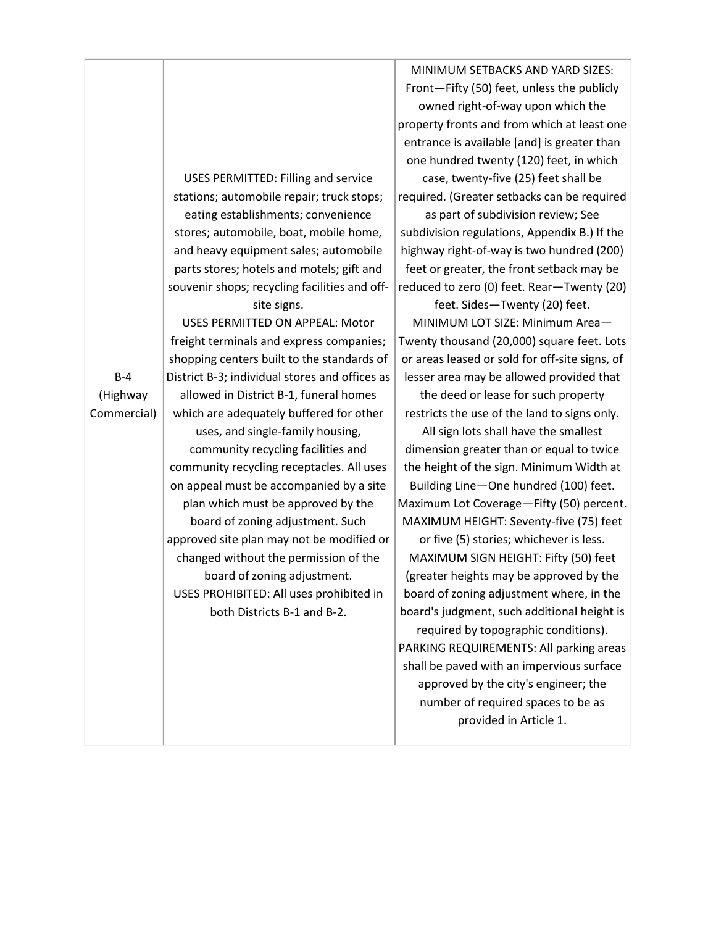USES PERMITTED: Filling and service stations; automobile repair; truck stops; eating establishments; convenience stores; automobile, boat, mobile home, and heavy equipment sales; automobile parts stores; hotels and motels; gift and souvenir shops; recycling facilities and offsite signs.

USES PERMITTED ON APPEAL: Motor freight terminals and express companies; shopping centers built to the standards of District B-3; individual stores and offices as allowed in District B-1, funeral homes which are adequately buffered for other uses, and single-family housing, community recycling facilities and community recycling receptacles. All uses on appeal must be accompanied by a site plan which must be approved by the board of zoning adjustment. Such approved site plan may not be modified or changed without the permission of the board of zoning adjustment. USES PROHIBITED: All uses prohibited in both Districts B-1 and B-2.

MINIMUM SETBACKS AND YARD SIZES: Front—Fifty (50) feet, unless the publicly owned right-of-way upon which the property fronts and from which at least one entrance is available [and] is greater than one hundred twenty (120) feet, in which case, twenty-five (25) feet shall be required. (Greater setbacks can be required

as part of subdivision review; See subdivision regulations, Appendix B.) If the highway right-of-way is two hundred (200) feet or greater, the front setback may be reduced to zero (0) feet. Rear—Twenty (20)

feet. Sides—Twenty (20) feet. MINIMUM LOT SIZE: Minimum Area— Twenty thousand (20,000) square feet. Lots or areas leased or sold for off-site signs, of lesser area may be allowed provided that

the deed or lease for such property restricts the use of the land to signs only.

All sign lots shall have the smallest dimension greater than or equal to twice the height of the sign. Minimum Width at Building Line—One hundred (100) feet. Maximum Lot Coverage—Fifty (50) percent. MAXIMUM HEIGHT: Seventy-five (75) feet

or five (5) stories; whichever is less. MAXIMUM SIGN HEIGHT: Fifty (50) feet (greater heights may be approved by the board of zoning adjustment where, in the board's judgment, such additional height is

required by topographic conditions). PARKING REQUIREMENTS: All parking areas shall be paved with an impervious surface approved by the city's engineer; the number of required spaces to be as provided in Article 1.

B-4 (Highway Commercial)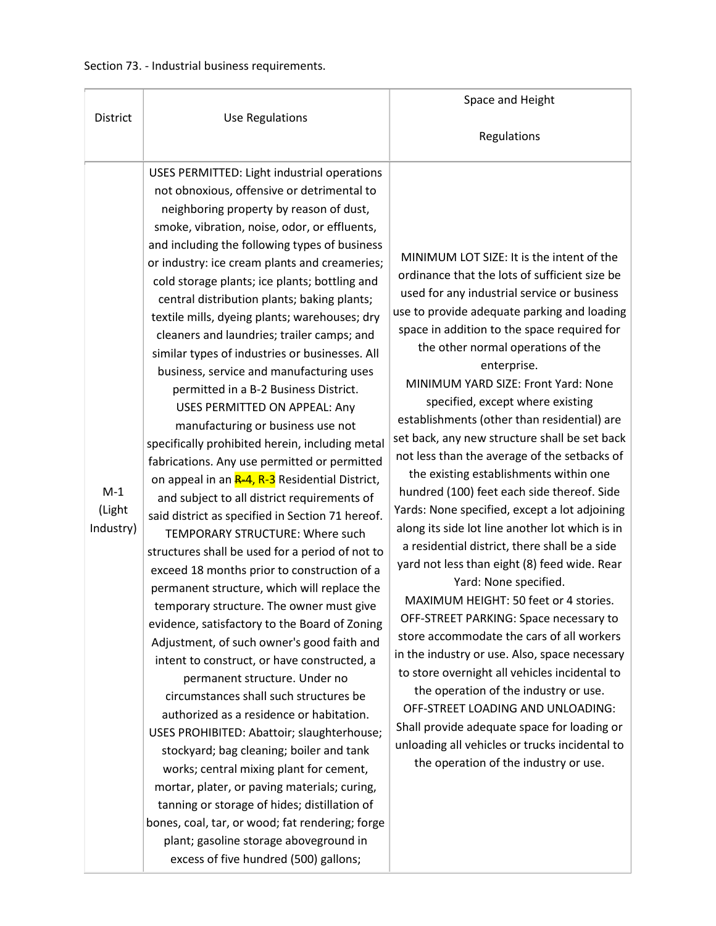|                              |                                                                                                                                                                                                                                                                                                                                                                                                                                                                                                                                                                                                                                                                                                                                                                                                                                                                                                                                                                                                                                                                                                                                                                                                                                                                                                                                                                                                                                                                                                                                                                                                                                                                                                                                                                                                          | Space and Height                                                                                                                                                                                                                                                                                                                                                                                                                                                                                                                                                                                                                                                                                                                                                                                                                                                                                                                                                                                                                                                                                                                                                                                                                                                                                        |
|------------------------------|----------------------------------------------------------------------------------------------------------------------------------------------------------------------------------------------------------------------------------------------------------------------------------------------------------------------------------------------------------------------------------------------------------------------------------------------------------------------------------------------------------------------------------------------------------------------------------------------------------------------------------------------------------------------------------------------------------------------------------------------------------------------------------------------------------------------------------------------------------------------------------------------------------------------------------------------------------------------------------------------------------------------------------------------------------------------------------------------------------------------------------------------------------------------------------------------------------------------------------------------------------------------------------------------------------------------------------------------------------------------------------------------------------------------------------------------------------------------------------------------------------------------------------------------------------------------------------------------------------------------------------------------------------------------------------------------------------------------------------------------------------------------------------------------------------|---------------------------------------------------------------------------------------------------------------------------------------------------------------------------------------------------------------------------------------------------------------------------------------------------------------------------------------------------------------------------------------------------------------------------------------------------------------------------------------------------------------------------------------------------------------------------------------------------------------------------------------------------------------------------------------------------------------------------------------------------------------------------------------------------------------------------------------------------------------------------------------------------------------------------------------------------------------------------------------------------------------------------------------------------------------------------------------------------------------------------------------------------------------------------------------------------------------------------------------------------------------------------------------------------------|
| <b>District</b>              | <b>Use Regulations</b>                                                                                                                                                                                                                                                                                                                                                                                                                                                                                                                                                                                                                                                                                                                                                                                                                                                                                                                                                                                                                                                                                                                                                                                                                                                                                                                                                                                                                                                                                                                                                                                                                                                                                                                                                                                   | Regulations                                                                                                                                                                                                                                                                                                                                                                                                                                                                                                                                                                                                                                                                                                                                                                                                                                                                                                                                                                                                                                                                                                                                                                                                                                                                                             |
|                              |                                                                                                                                                                                                                                                                                                                                                                                                                                                                                                                                                                                                                                                                                                                                                                                                                                                                                                                                                                                                                                                                                                                                                                                                                                                                                                                                                                                                                                                                                                                                                                                                                                                                                                                                                                                                          |                                                                                                                                                                                                                                                                                                                                                                                                                                                                                                                                                                                                                                                                                                                                                                                                                                                                                                                                                                                                                                                                                                                                                                                                                                                                                                         |
| $M-1$<br>(Light<br>Industry) | USES PERMITTED: Light industrial operations<br>not obnoxious, offensive or detrimental to<br>neighboring property by reason of dust,<br>smoke, vibration, noise, odor, or effluents,<br>and including the following types of business<br>or industry: ice cream plants and creameries;<br>cold storage plants; ice plants; bottling and<br>central distribution plants; baking plants;<br>textile mills, dyeing plants; warehouses; dry<br>cleaners and laundries; trailer camps; and<br>similar types of industries or businesses. All<br>business, service and manufacturing uses<br>permitted in a B-2 Business District.<br>USES PERMITTED ON APPEAL: Any<br>manufacturing or business use not<br>specifically prohibited herein, including metal<br>fabrications. Any use permitted or permitted<br>on appeal in an <b>R-4, R-3</b> Residential District,<br>and subject to all district requirements of<br>said district as specified in Section 71 hereof.<br>TEMPORARY STRUCTURE: Where such<br>structures shall be used for a period of not to<br>exceed 18 months prior to construction of a<br>permanent structure, which will replace the<br>temporary structure. The owner must give<br>evidence, satisfactory to the Board of Zoning<br>Adjustment, of such owner's good faith and<br>intent to construct, or have constructed, a<br>permanent structure. Under no<br>circumstances shall such structures be<br>authorized as a residence or habitation.<br>USES PROHIBITED: Abattoir; slaughterhouse;<br>stockyard; bag cleaning; boiler and tank<br>works; central mixing plant for cement,<br>mortar, plater, or paving materials; curing,<br>tanning or storage of hides; distillation of<br>bones, coal, tar, or wood; fat rendering; forge<br>plant; gasoline storage aboveground in | MINIMUM LOT SIZE: It is the intent of the<br>ordinance that the lots of sufficient size be<br>used for any industrial service or business<br>use to provide adequate parking and loading<br>space in addition to the space required for<br>the other normal operations of the<br>enterprise.<br>MINIMUM YARD SIZE: Front Yard: None<br>specified, except where existing<br>establishments (other than residential) are<br>set back, any new structure shall be set back<br>not less than the average of the setbacks of<br>the existing establishments within one<br>hundred (100) feet each side thereof. Side<br>Yards: None specified, except a lot adjoining<br>along its side lot line another lot which is in<br>a residential district, there shall be a side<br>yard not less than eight (8) feed wide. Rear<br>Yard: None specified.<br>MAXIMUM HEIGHT: 50 feet or 4 stories.<br>OFF-STREET PARKING: Space necessary to<br>store accommodate the cars of all workers<br>in the industry or use. Also, space necessary<br>to store overnight all vehicles incidental to<br>the operation of the industry or use.<br>OFF-STREET LOADING AND UNLOADING:<br>Shall provide adequate space for loading or<br>unloading all vehicles or trucks incidental to<br>the operation of the industry or use. |
|                              | excess of five hundred (500) gallons;                                                                                                                                                                                                                                                                                                                                                                                                                                                                                                                                                                                                                                                                                                                                                                                                                                                                                                                                                                                                                                                                                                                                                                                                                                                                                                                                                                                                                                                                                                                                                                                                                                                                                                                                                                    |                                                                                                                                                                                                                                                                                                                                                                                                                                                                                                                                                                                                                                                                                                                                                                                                                                                                                                                                                                                                                                                                                                                                                                                                                                                                                                         |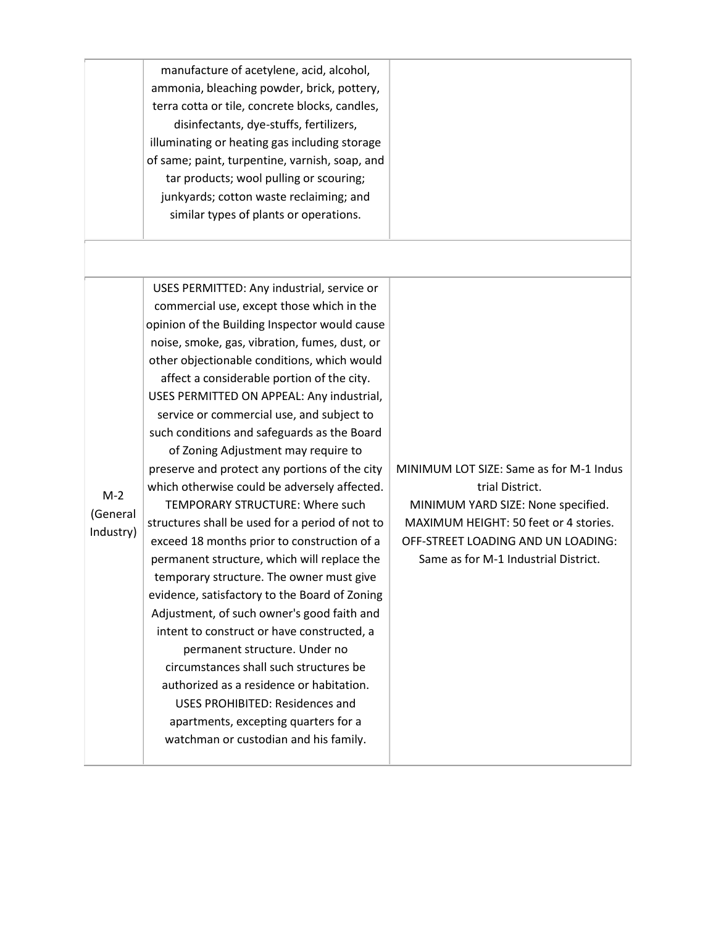|                                | manufacture of acetylene, acid, alcohol,<br>ammonia, bleaching powder, brick, pottery,<br>terra cotta or tile, concrete blocks, candles,<br>disinfectants, dye-stuffs, fertilizers,<br>illuminating or heating gas including storage<br>of same; paint, turpentine, varnish, soap, and<br>tar products; wool pulling or scouring;<br>junkyards; cotton waste reclaiming; and<br>similar types of plants or operations.                                                                                                                                                                                                                                                                                                                                                                                                                                                                                                                                                                                                                                                                                                                                                                                 |                                                                                                                                                                                                                         |
|--------------------------------|--------------------------------------------------------------------------------------------------------------------------------------------------------------------------------------------------------------------------------------------------------------------------------------------------------------------------------------------------------------------------------------------------------------------------------------------------------------------------------------------------------------------------------------------------------------------------------------------------------------------------------------------------------------------------------------------------------------------------------------------------------------------------------------------------------------------------------------------------------------------------------------------------------------------------------------------------------------------------------------------------------------------------------------------------------------------------------------------------------------------------------------------------------------------------------------------------------|-------------------------------------------------------------------------------------------------------------------------------------------------------------------------------------------------------------------------|
| $M-2$<br>(General<br>Industry) | USES PERMITTED: Any industrial, service or<br>commercial use, except those which in the<br>opinion of the Building Inspector would cause<br>noise, smoke, gas, vibration, fumes, dust, or<br>other objectionable conditions, which would<br>affect a considerable portion of the city.<br>USES PERMITTED ON APPEAL: Any industrial,<br>service or commercial use, and subject to<br>such conditions and safeguards as the Board<br>of Zoning Adjustment may require to<br>preserve and protect any portions of the city<br>which otherwise could be adversely affected.<br>TEMPORARY STRUCTURE: Where such<br>structures shall be used for a period of not to<br>exceed 18 months prior to construction of a<br>permanent structure, which will replace the<br>temporary structure. The owner must give<br>evidence, satisfactory to the Board of Zoning<br>Adjustment, of such owner's good faith and<br>intent to construct or have constructed, a<br>permanent structure. Under no<br>circumstances shall such structures be<br>authorized as a residence or habitation.<br><b>USES PROHIBITED: Residences and</b><br>apartments, excepting quarters for a<br>watchman or custodian and his family. | MINIMUM LOT SIZE: Same as for M-1 Indus<br>trial District.<br>MINIMUM YARD SIZE: None specified.<br>MAXIMUM HEIGHT: 50 feet or 4 stories.<br>OFF-STREET LOADING AND UN LOADING:<br>Same as for M-1 Industrial District. |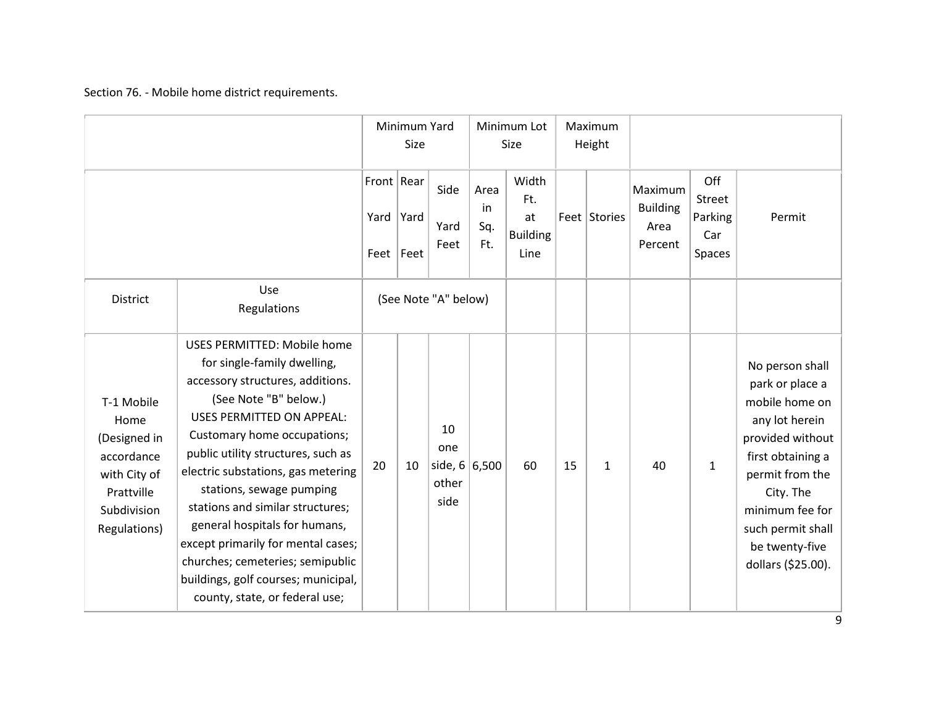Section 76. - Mobile home district requirements.

|                                                                                                               |                                                                                                                                                                                                                                                                                                                                                                                                                                                                                                                                   | Minimum Yard<br>Size                |      | Minimum Lot<br>Size                           |                          | Maximum<br>Height                             |    |              |                                               |                                           |                                                                                                                                                                                                                                 |
|---------------------------------------------------------------------------------------------------------------|-----------------------------------------------------------------------------------------------------------------------------------------------------------------------------------------------------------------------------------------------------------------------------------------------------------------------------------------------------------------------------------------------------------------------------------------------------------------------------------------------------------------------------------|-------------------------------------|------|-----------------------------------------------|--------------------------|-----------------------------------------------|----|--------------|-----------------------------------------------|-------------------------------------------|---------------------------------------------------------------------------------------------------------------------------------------------------------------------------------------------------------------------------------|
|                                                                                                               |                                                                                                                                                                                                                                                                                                                                                                                                                                                                                                                                   | Front   Rear<br>Yard<br>Feet   Feet | Yard | Side<br>Yard<br>Feet                          | Area<br>in<br>Sq.<br>Ft. | Width<br>Ft.<br>at<br><b>Building</b><br>Line |    | Feet Stories | Maximum<br><b>Building</b><br>Area<br>Percent | Off<br>Street<br>Parking<br>Car<br>Spaces | Permit                                                                                                                                                                                                                          |
| District                                                                                                      | Use<br>Regulations                                                                                                                                                                                                                                                                                                                                                                                                                                                                                                                | (See Note "A" below)                |      |                                               |                          |                                               |    |              |                                               |                                           |                                                                                                                                                                                                                                 |
| T-1 Mobile<br>Home<br>(Designed in<br>accordance<br>with City of<br>Prattville<br>Subdivision<br>Regulations) | <b>USES PERMITTED: Mobile home</b><br>for single-family dwelling,<br>accessory structures, additions.<br>(See Note "B" below.)<br><b>USES PERMITTED ON APPEAL:</b><br>Customary home occupations;<br>public utility structures, such as<br>electric substations, gas metering<br>stations, sewage pumping<br>stations and similar structures;<br>general hospitals for humans,<br>except primarily for mental cases;<br>churches; cemeteries; semipublic<br>buildings, golf courses; municipal,<br>county, state, or federal use; | 20                                  | 10   | 10<br>one<br>side, $6 6,500$<br>other<br>side |                          | 60                                            | 15 | $\mathbf{1}$ | 40                                            | 1                                         | No person shall<br>park or place a<br>mobile home on<br>any lot herein<br>provided without<br>first obtaining a<br>permit from the<br>City. The<br>minimum fee for<br>such permit shall<br>be twenty-five<br>dollars (\$25.00). |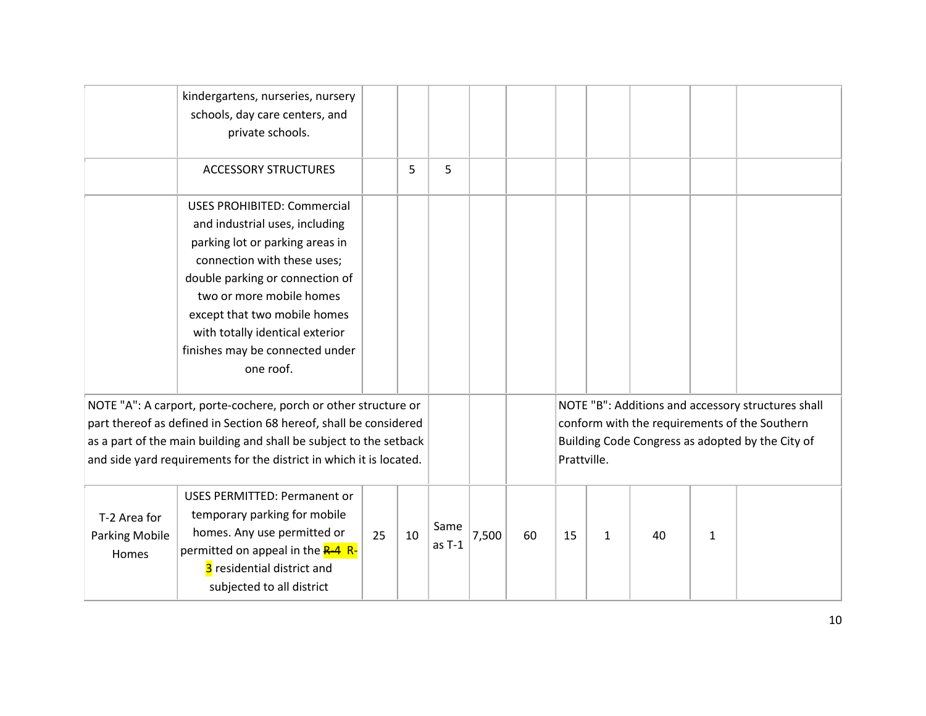|                                                                                                                                                                                                                                                                                   | kindergartens, nurseries, nursery<br>schools, day care centers, and<br>private schools.                                                                                                                                                                                                                                  |    |    |                  |       |             |    |   |    |                                                                                                                                                         |  |
|-----------------------------------------------------------------------------------------------------------------------------------------------------------------------------------------------------------------------------------------------------------------------------------|--------------------------------------------------------------------------------------------------------------------------------------------------------------------------------------------------------------------------------------------------------------------------------------------------------------------------|----|----|------------------|-------|-------------|----|---|----|---------------------------------------------------------------------------------------------------------------------------------------------------------|--|
|                                                                                                                                                                                                                                                                                   | <b>ACCESSORY STRUCTURES</b>                                                                                                                                                                                                                                                                                              |    | 5  | 5                |       |             |    |   |    |                                                                                                                                                         |  |
|                                                                                                                                                                                                                                                                                   | <b>USES PROHIBITED: Commercial</b><br>and industrial uses, including<br>parking lot or parking areas in<br>connection with these uses;<br>double parking or connection of<br>two or more mobile homes<br>except that two mobile homes<br>with totally identical exterior<br>finishes may be connected under<br>one roof. |    |    |                  |       |             |    |   |    |                                                                                                                                                         |  |
| NOTE "A": A carport, porte-cochere, porch or other structure or<br>part thereof as defined in Section 68 hereof, shall be considered<br>as a part of the main building and shall be subject to the setback<br>and side yard requirements for the district in which it is located. |                                                                                                                                                                                                                                                                                                                          |    |    |                  |       | Prattville. |    |   |    | NOTE "B": Additions and accessory structures shall<br>conform with the requirements of the Southern<br>Building Code Congress as adopted by the City of |  |
| T-2 Area for<br><b>Parking Mobile</b><br>Homes                                                                                                                                                                                                                                    | <b>USES PERMITTED: Permanent or</b><br>temporary parking for mobile<br>homes. Any use permitted or<br>permitted on appeal in the R-4 R-<br>3 residential district and<br>subjected to all district                                                                                                                       | 25 | 10 | Same<br>$as T-1$ | 7,500 | 60          | 15 | 1 | 40 | 1                                                                                                                                                       |  |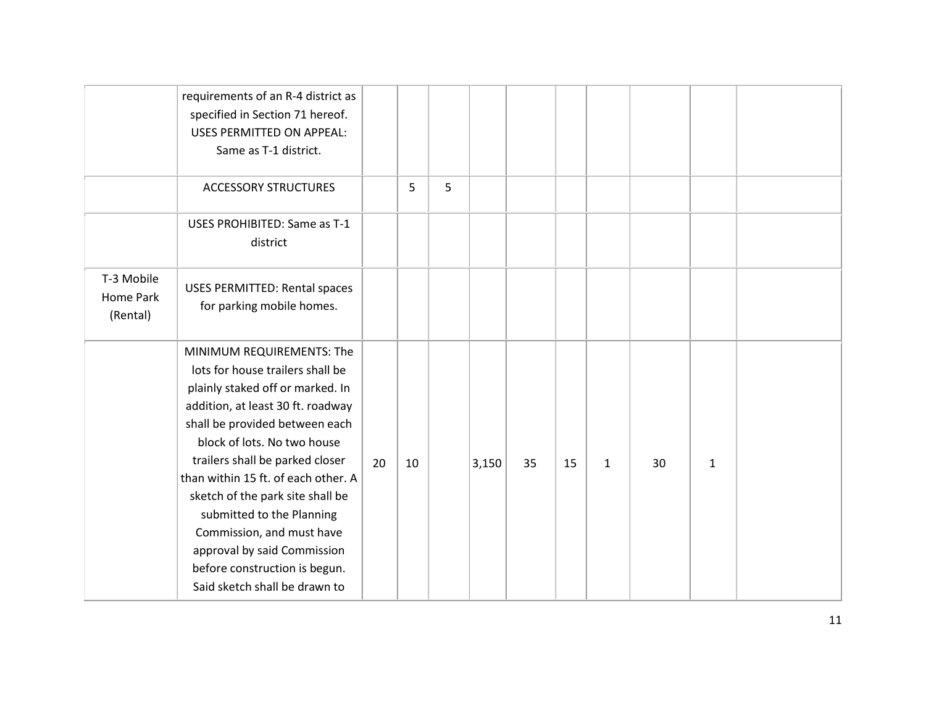|                                            | requirements of an R-4 district as<br>specified in Section 71 hereof.<br><b>USES PERMITTED ON APPEAL:</b><br>Same as T-1 district.                                                                                                                                                                                                                                                                                                                                               |    |    |   |       |    |    |              |    |   |  |
|--------------------------------------------|----------------------------------------------------------------------------------------------------------------------------------------------------------------------------------------------------------------------------------------------------------------------------------------------------------------------------------------------------------------------------------------------------------------------------------------------------------------------------------|----|----|---|-------|----|----|--------------|----|---|--|
|                                            | <b>ACCESSORY STRUCTURES</b>                                                                                                                                                                                                                                                                                                                                                                                                                                                      |    | 5  | 5 |       |    |    |              |    |   |  |
|                                            | USES PROHIBITED: Same as T-1<br>district                                                                                                                                                                                                                                                                                                                                                                                                                                         |    |    |   |       |    |    |              |    |   |  |
| T-3 Mobile<br><b>Home Park</b><br>(Rental) | <b>USES PERMITTED: Rental spaces</b><br>for parking mobile homes.                                                                                                                                                                                                                                                                                                                                                                                                                |    |    |   |       |    |    |              |    |   |  |
|                                            | MINIMUM REQUIREMENTS: The<br>lots for house trailers shall be<br>plainly staked off or marked. In<br>addition, at least 30 ft. roadway<br>shall be provided between each<br>block of lots. No two house<br>trailers shall be parked closer<br>than within 15 ft. of each other. A<br>sketch of the park site shall be<br>submitted to the Planning<br>Commission, and must have<br>approval by said Commission<br>before construction is begun.<br>Said sketch shall be drawn to | 20 | 10 |   | 3,150 | 35 | 15 | $\mathbf{1}$ | 30 | 1 |  |